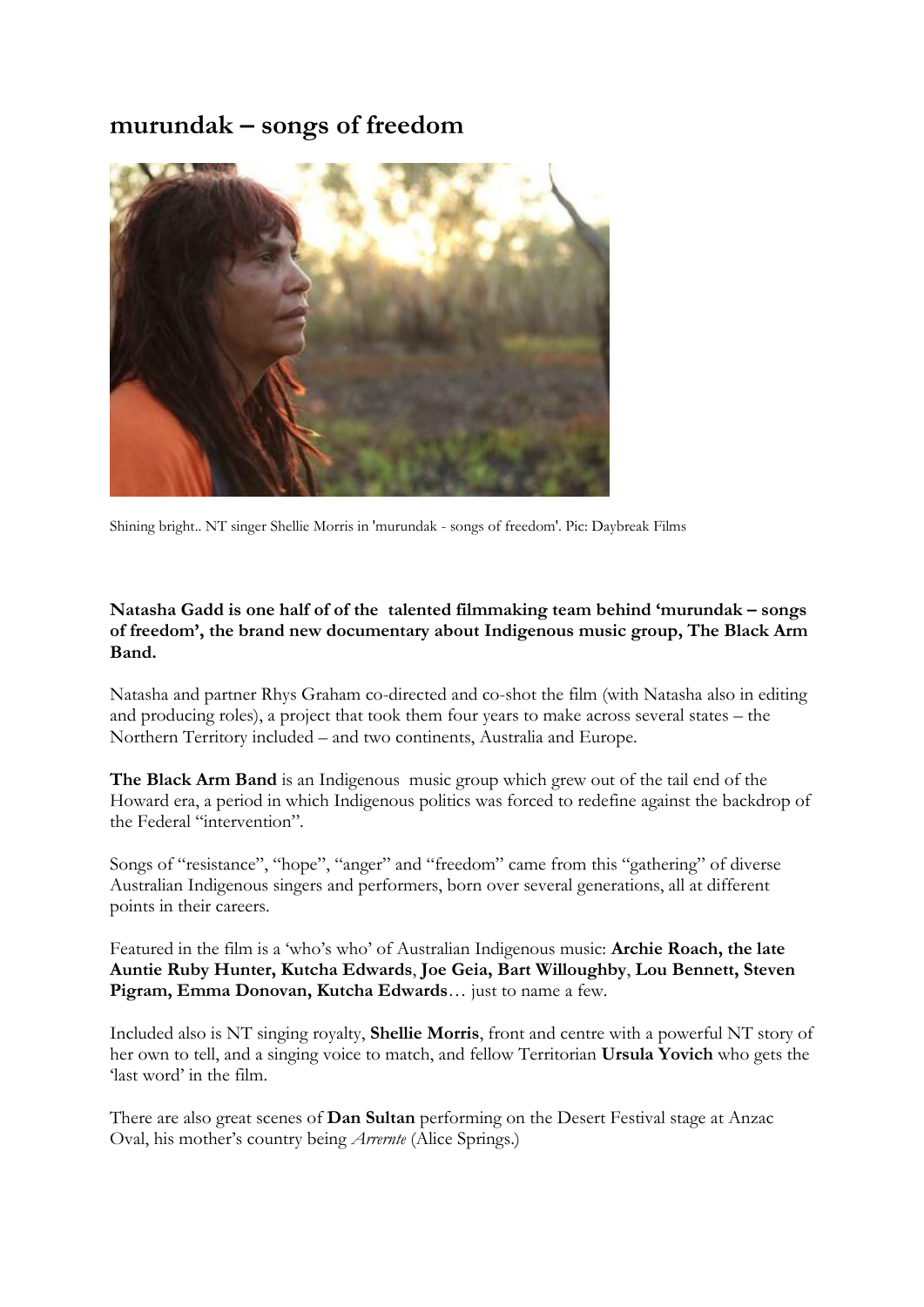# **murundak – songs of freedom**



Shining bright.. NT singer Shellie Morris in 'murundak - songs of freedom'. Pic: Daybreak Films

#### **Natasha Gadd is one half of of the talented filmmaking team behind 'murundak – songs of freedom', the brand new documentary about Indigenous music group, The Black Arm Band.**

Natasha and partner Rhys Graham co-directed and co-shot the film (with Natasha also in editing and producing roles), a project that took them four years to make across several states – the Northern Territory included – and two continents, Australia and Europe.

**The Black Arm Band** is an Indigenous music group which grew out of the tail end of the Howard era, a period in which Indigenous politics was forced to redefine against the backdrop of the Federal "intervention".

Songs of "resistance", "hope", "anger" and "freedom" came from this "gathering" of diverse Australian Indigenous singers and performers, born over several generations, all at different points in their careers.

Featured in the film is a "who"s who" of Australian Indigenous music: **Archie Roach, the late Auntie Ruby Hunter, Kutcha Edwards**, **Joe Geia, Bart Willoughby**, **Lou Bennett, Steven Pigram, Emma Donovan, Kutcha Edwards**… just to name a few.

Included also is NT singing royalty, **Shellie Morris**, front and centre with a powerful NT story of her own to tell, and a singing voice to match, and fellow Territorian **Ursula Yovich** who gets the 'last word' in the film.

There are also great scenes of **Dan Sultan** performing on the Desert Festival stage at Anzac Oval, his mother"s country being *Arrernte* (Alice Springs.)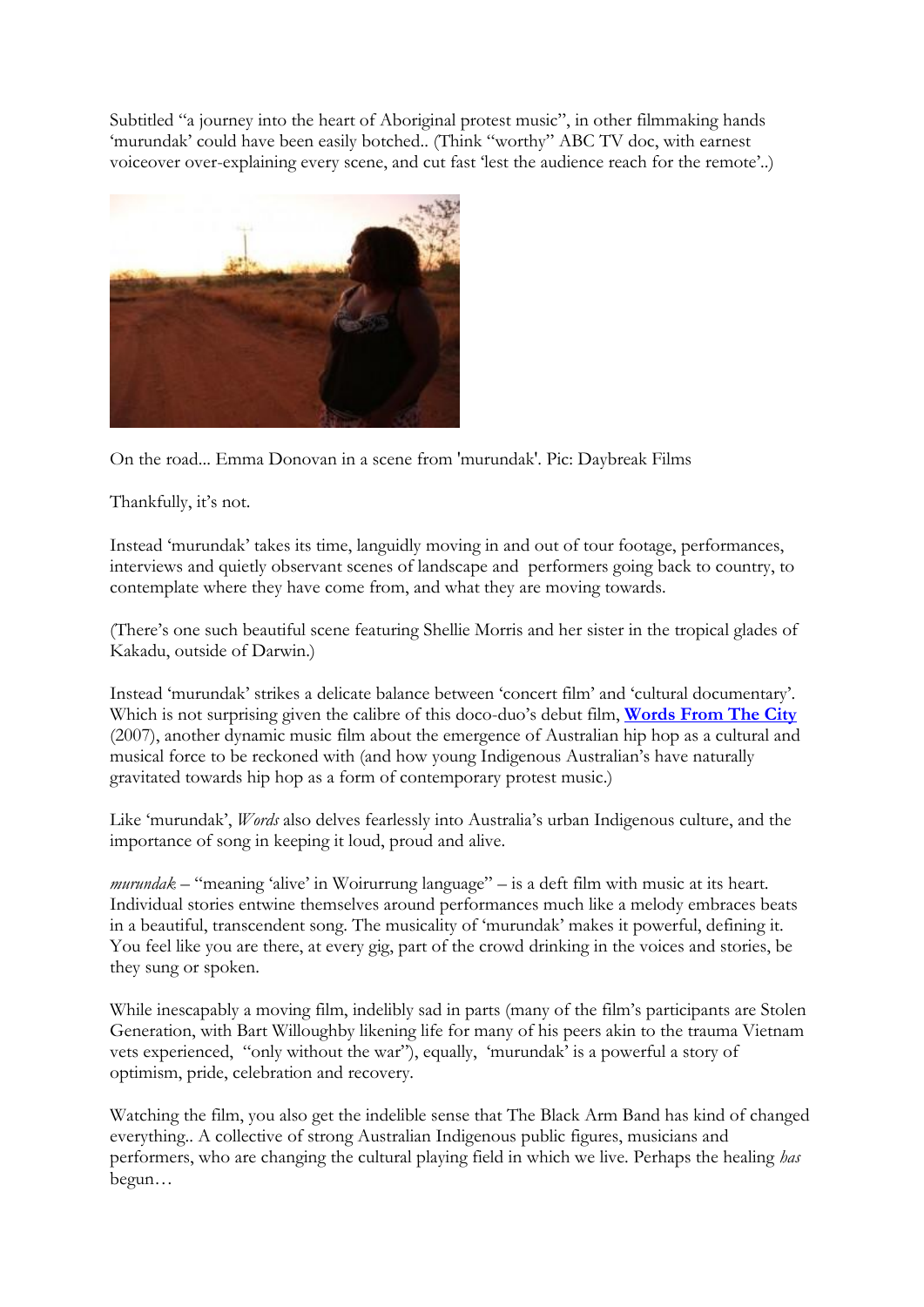Subtitled "a journey into the heart of Aboriginal protest music", in other filmmaking hands 'murundak' could have been easily botched.. (Think "worthy" ABC TV doc, with earnest voiceover over-explaining every scene, and cut fast "lest the audience reach for the remote"..)



On the road... Emma Donovan in a scene from 'murundak'. Pic: Daybreak Films

Thankfully, it's not.

Instead "murundak" takes its time, languidly moving in and out of tour footage, performances, interviews and quietly observant scenes of landscape and performers going back to country, to contemplate where they have come from, and what they are moving towards.

(There"s one such beautiful scene featuring Shellie Morris and her sister in the tropical glades of Kakadu, outside of Darwin.)

Instead "murundak" strikes a delicate balance between "concert film" and "cultural documentary". Which is not surprising given the calibre of this doco-duo's debut film, **[Words From The City](http://www.daybreakfilms.com.au/words-from-the-city/)** (2007), another dynamic music film about the emergence of Australian hip hop as a cultural and musical force to be reckoned with (and how young Indigenous Australian"s have naturally gravitated towards hip hop as a form of contemporary protest music.)

Like 'murundak', *Words* also delves fearlessly into Australia's urban Indigenous culture, and the importance of song in keeping it loud, proud and alive.

*murundak* – "meaning "alive" in Woirurrung language" – is a deft film with music at its heart. Individual stories entwine themselves around performances much like a melody embraces beats in a beautiful, transcendent song. The musicality of "murundak" makes it powerful, defining it. You feel like you are there, at every gig, part of the crowd drinking in the voices and stories, be they sung or spoken.

While inescapably a moving film, indelibly sad in parts (many of the film"s participants are Stolen Generation, with Bart Willoughby likening life for many of his peers akin to the trauma Vietnam vets experienced, "only without the war"), equally, "murundak" is a powerful a story of optimism, pride, celebration and recovery.

Watching the film, you also get the indelible sense that The Black Arm Band has kind of changed everything.. A collective of strong Australian Indigenous public figures, musicians and performers, who are changing the cultural playing field in which we live. Perhaps the healing *has* begun…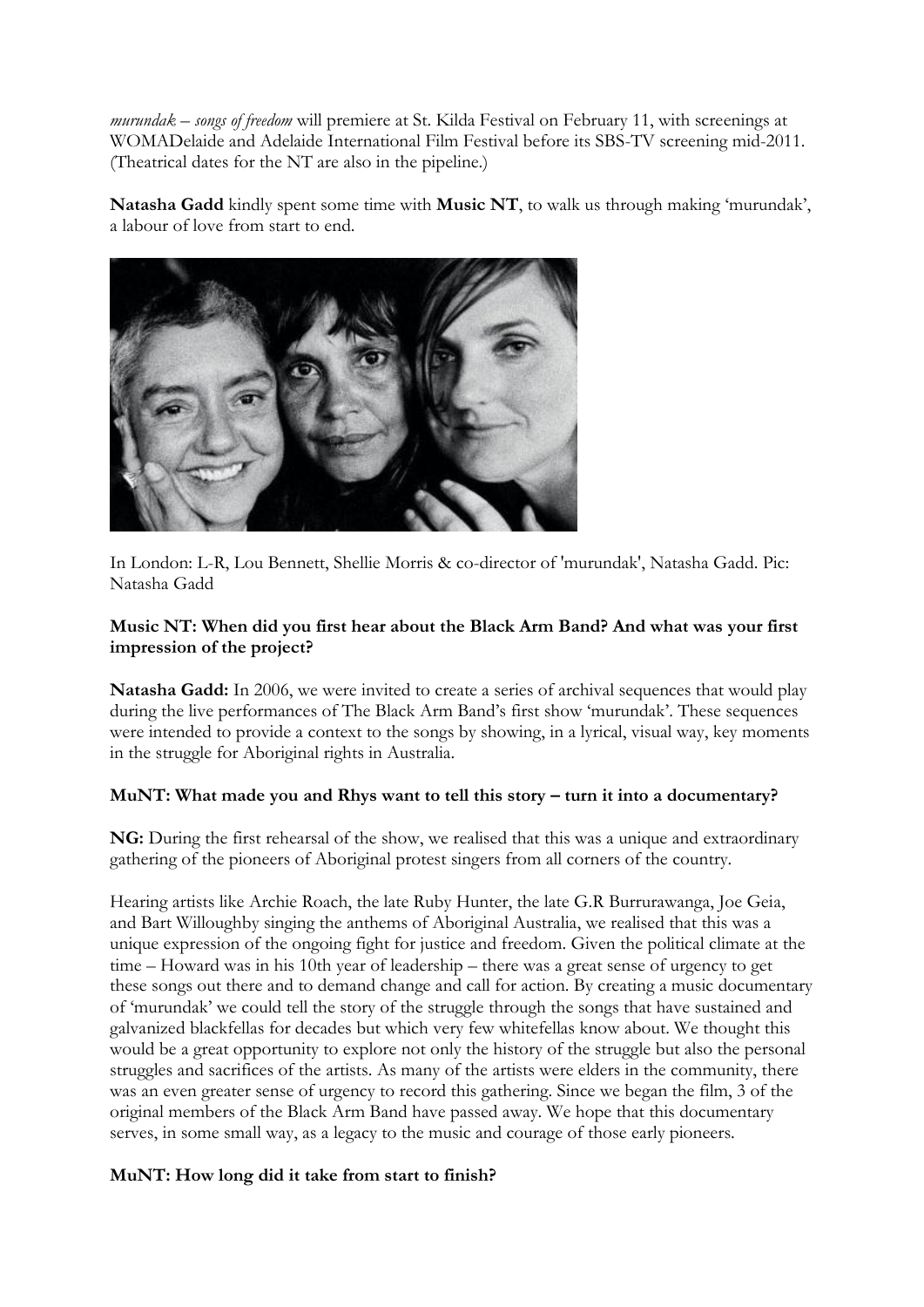*murundak – songs of freedom* will premiere at St. Kilda Festival on February 11, with screenings at WOMADelaide and Adelaide International Film Festival before its SBS-TV screening mid-2011. (Theatrical dates for the NT are also in the pipeline.)

**Natasha Gadd** kindly spent some time with **Music NT**, to walk us through making "murundak", a labour of love from start to end.



In London: L-R, Lou Bennett, Shellie Morris & co-director of 'murundak', Natasha Gadd. Pic: Natasha Gadd

### **Music NT: When did you first hear about the Black Arm Band? And what was your first impression of the project?**

**Natasha Gadd:** In 2006, we were invited to create a series of archival sequences that would play during the live performances of The Black Arm Band's first show 'murundak'. These sequences were intended to provide a context to the songs by showing, in a lyrical, visual way, key moments in the struggle for Aboriginal rights in Australia.

#### MuNT: What made you and Rhys want to tell this story – turn it into a documentary?

**NG:** During the first rehearsal of the show, we realised that this was a unique and extraordinary gathering of the pioneers of Aboriginal protest singers from all corners of the country.

Hearing artists like Archie Roach, the late Ruby Hunter, the late G.R Burrurawanga, Joe Geia, and Bart Willoughby singing the anthems of Aboriginal Australia, we realised that this was a unique expression of the ongoing fight for justice and freedom. Given the political climate at the time – Howard was in his 10th year of leadership – there was a great sense of urgency to get these songs out there and to demand change and call for action. By creating a music documentary of "murundak" we could tell the story of the struggle through the songs that have sustained and galvanized blackfellas for decades but which very few whitefellas know about. We thought this would be a great opportunity to explore not only the history of the struggle but also the personal struggles and sacrifices of the artists. As many of the artists were elders in the community, there was an even greater sense of urgency to record this gathering. Since we began the film, 3 of the original members of the Black Arm Band have passed away. We hope that this documentary serves, in some small way, as a legacy to the music and courage of those early pioneers.

# **MuNT: How long did it take from start to finish?**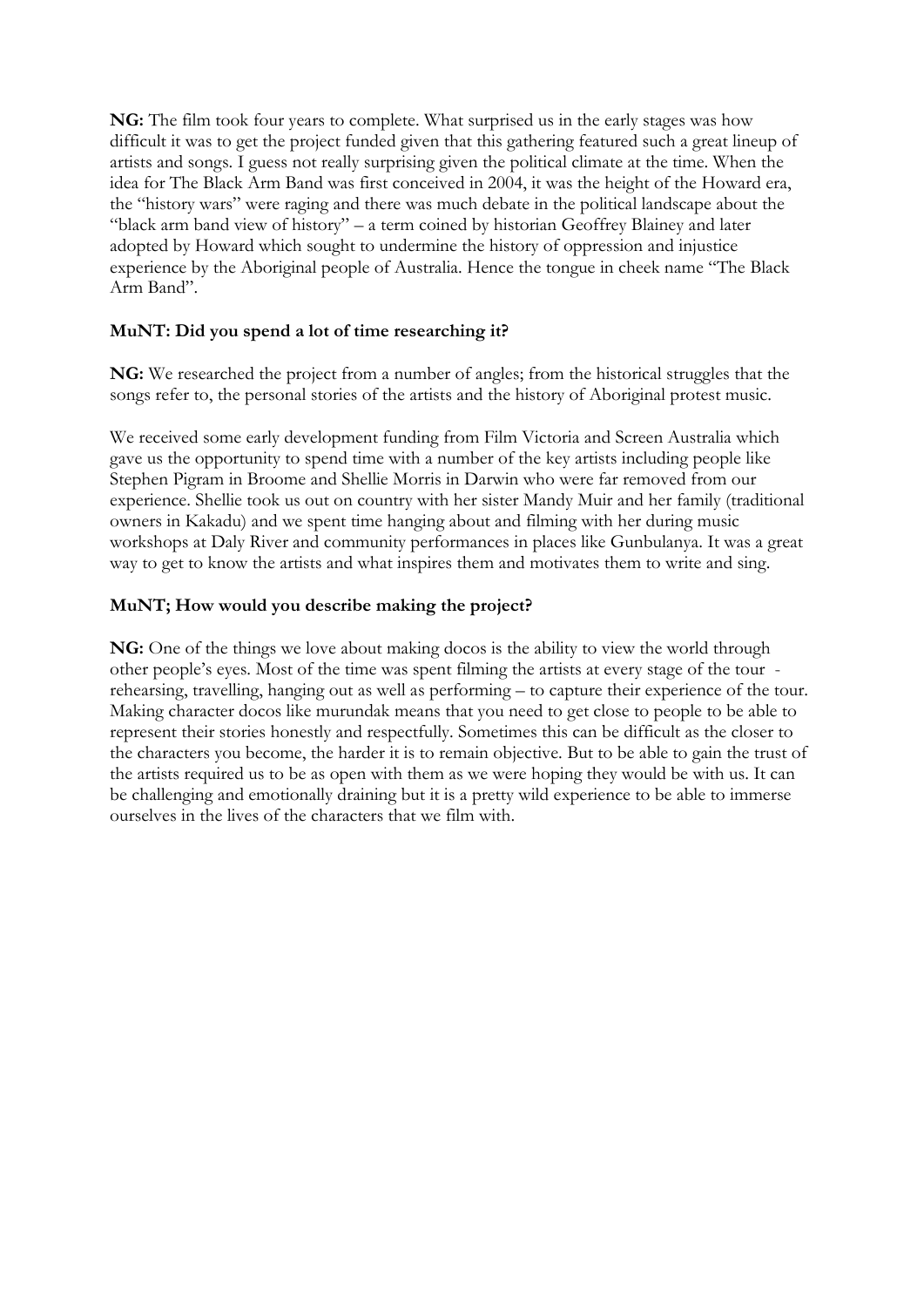**NG:** The film took four years to complete. What surprised us in the early stages was how difficult it was to get the project funded given that this gathering featured such a great lineup of artists and songs. I guess not really surprising given the political climate at the time. When the idea for The Black Arm Band was first conceived in 2004, it was the height of the Howard era, the "history wars" were raging and there was much debate in the political landscape about the "black arm band view of history" – a term coined by historian Geoffrey Blainey and later adopted by Howard which sought to undermine the history of oppression and injustice experience by the Aboriginal people of Australia. Hence the tongue in cheek name "The Black Arm Band".

# **MuNT: Did you spend a lot of time researching it?**

**NG:** We researched the project from a number of angles; from the historical struggles that the songs refer to, the personal stories of the artists and the history of Aboriginal protest music.

We received some early development funding from Film Victoria and Screen Australia which gave us the opportunity to spend time with a number of the key artists including people like Stephen Pigram in Broome and Shellie Morris in Darwin who were far removed from our experience. Shellie took us out on country with her sister Mandy Muir and her family (traditional owners in Kakadu) and we spent time hanging about and filming with her during music workshops at Daly River and community performances in places like Gunbulanya. It was a great way to get to know the artists and what inspires them and motivates them to write and sing.

### **MuNT; How would you describe making the project?**

**NG:** One of the things we love about making docos is the ability to view the world through other people"s eyes. Most of the time was spent filming the artists at every stage of the tour rehearsing, travelling, hanging out as well as performing – to capture their experience of the tour. Making character docos like murundak means that you need to get close to people to be able to represent their stories honestly and respectfully. Sometimes this can be difficult as the closer to the characters you become, the harder it is to remain objective. But to be able to gain the trust of the artists required us to be as open with them as we were hoping they would be with us. It can be challenging and emotionally draining but it is a pretty wild experience to be able to immerse ourselves in the lives of the characters that we film with.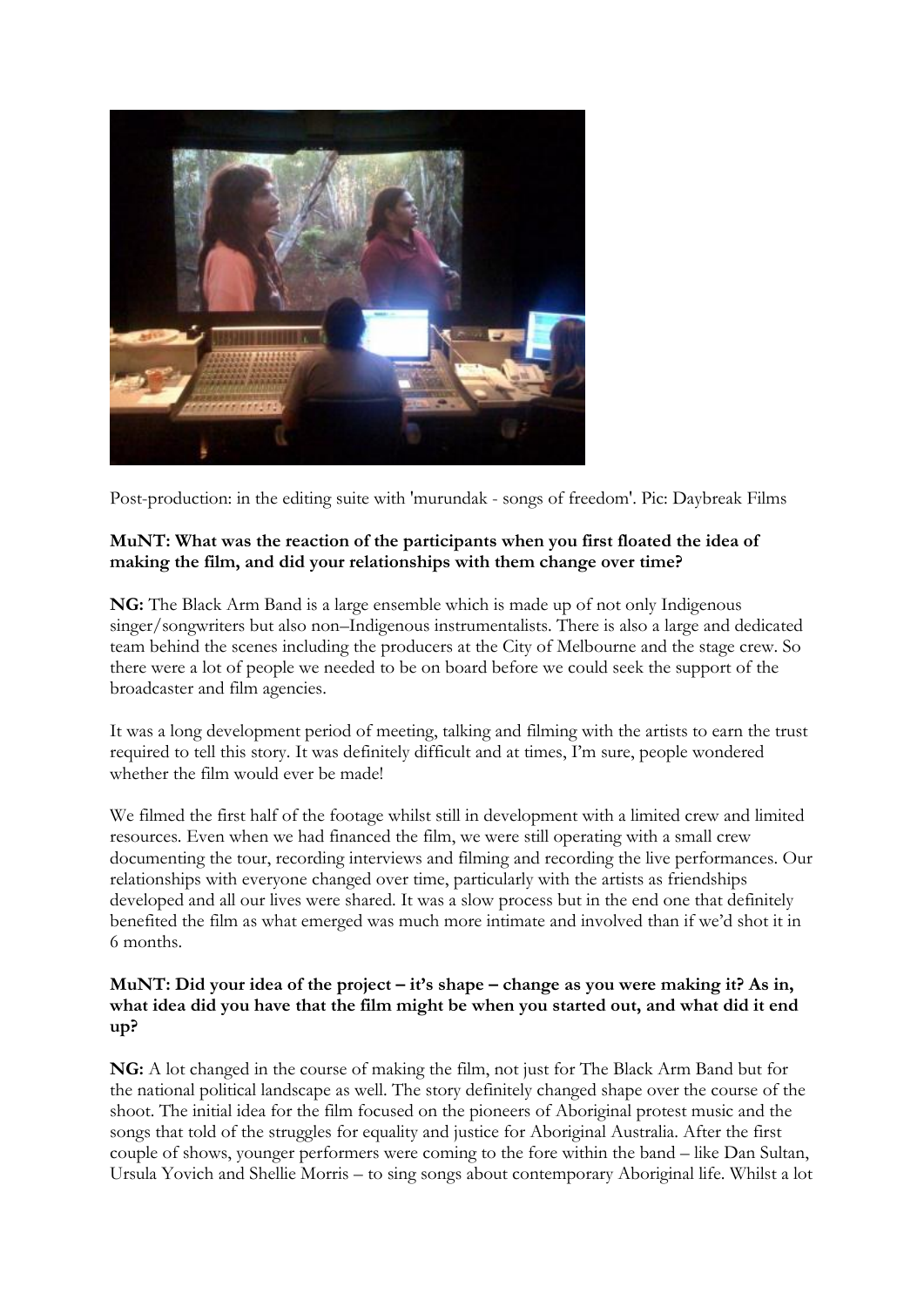

Post-production: in the editing suite with 'murundak - songs of freedom'. Pic: Daybreak Films

# **MuNT: What was the reaction of the participants when you first floated the idea of making the film, and did your relationships with them change over time?**

**NG:** The Black Arm Band is a large ensemble which is made up of not only Indigenous singer/songwriters but also non–Indigenous instrumentalists. There is also a large and dedicated team behind the scenes including the producers at the City of Melbourne and the stage crew. So there were a lot of people we needed to be on board before we could seek the support of the broadcaster and film agencies.

It was a long development period of meeting, talking and filming with the artists to earn the trust required to tell this story. It was definitely difficult and at times, I"m sure, people wondered whether the film would ever be made!

We filmed the first half of the footage whilst still in development with a limited crew and limited resources. Even when we had financed the film, we were still operating with a small crew documenting the tour, recording interviews and filming and recording the live performances. Our relationships with everyone changed over time, particularly with the artists as friendships developed and all our lives were shared. It was a slow process but in the end one that definitely benefited the film as what emerged was much more intimate and involved than if we"d shot it in 6 months.

#### **MuNT: Did your idea of the project – it's shape – change as you were making it? As in, what idea did you have that the film might be when you started out, and what did it end up?**

**NG:** A lot changed in the course of making the film, not just for The Black Arm Band but for the national political landscape as well. The story definitely changed shape over the course of the shoot. The initial idea for the film focused on the pioneers of Aboriginal protest music and the songs that told of the struggles for equality and justice for Aboriginal Australia. After the first couple of shows, younger performers were coming to the fore within the band – like Dan Sultan, Ursula Yovich and Shellie Morris – to sing songs about contemporary Aboriginal life. Whilst a lot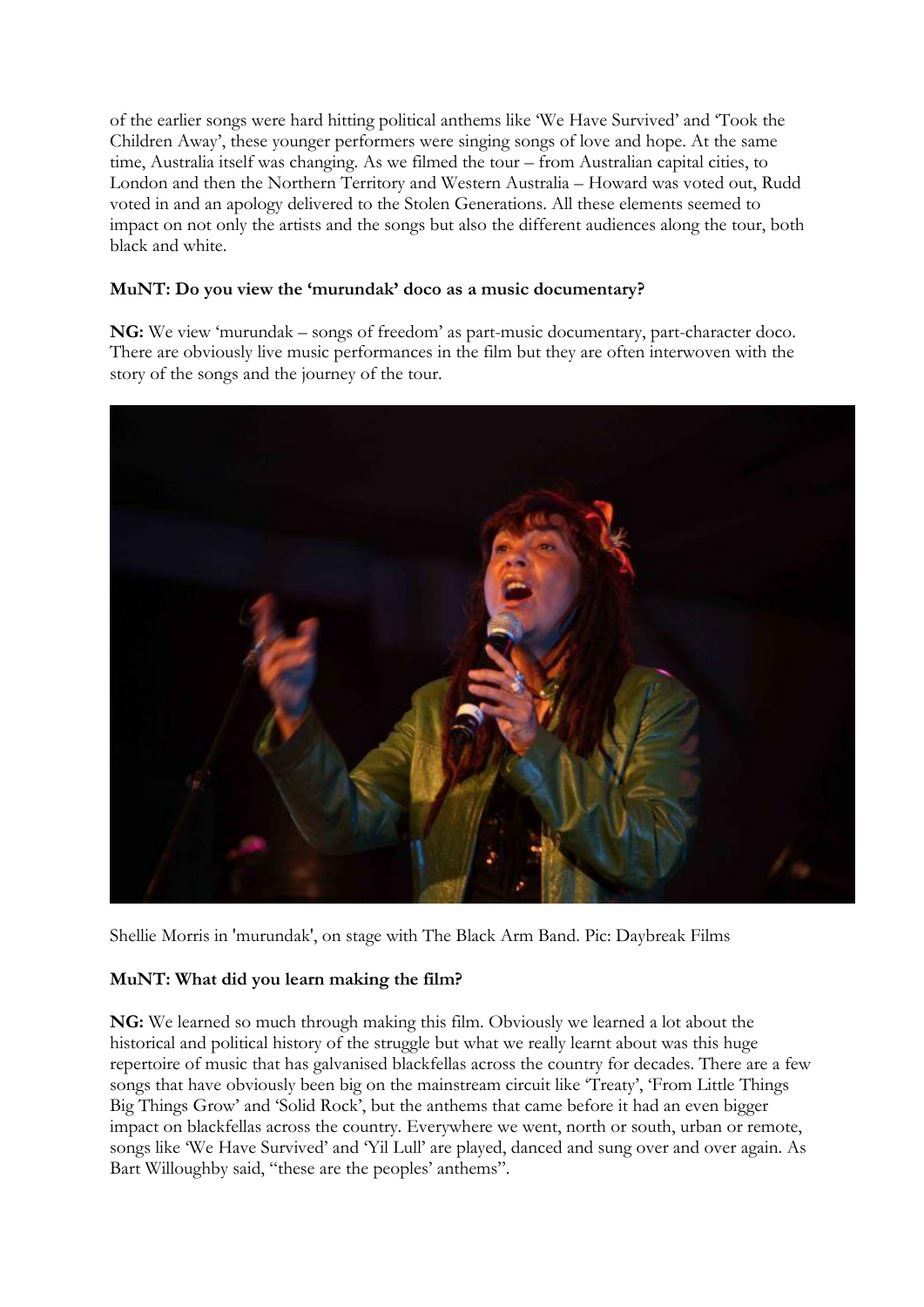of the earlier songs were hard hitting political anthems like "We Have Survived" and "Took the Children Away", these younger performers were singing songs of love and hope. At the same time, Australia itself was changing. As we filmed the tour – from Australian capital cities, to London and then the Northern Territory and Western Australia – Howard was voted out, Rudd voted in and an apology delivered to the Stolen Generations. All these elements seemed to impact on not only the artists and the songs but also the different audiences along the tour, both black and white.

# **MuNT: Do you view the 'murundak' doco as a music documentary?**

**NG:** We view "murundak – songs of freedom" as part-music documentary, part-character doco. There are obviously live music performances in the film but they are often interwoven with the story of the songs and the journey of the tour.



Shellie Morris in 'murundak', on stage with The Black Arm Band. Pic: Daybreak Films

#### **MuNT: What did you learn making the film?**

**NG:** We learned so much through making this film. Obviously we learned a lot about the historical and political history of the struggle but what we really learnt about was this huge repertoire of music that has galvanised blackfellas across the country for decades. There are a few songs that have obviously been big on the mainstream circuit like 'Treaty', 'From Little Things Big Things Grow" and "Solid Rock", but the anthems that came before it had an even bigger impact on blackfellas across the country. Everywhere we went, north or south, urban or remote, songs like "We Have Survived" and "Yil Lull" are played, danced and sung over and over again. As Bart Willoughby said, "these are the peoples' anthems".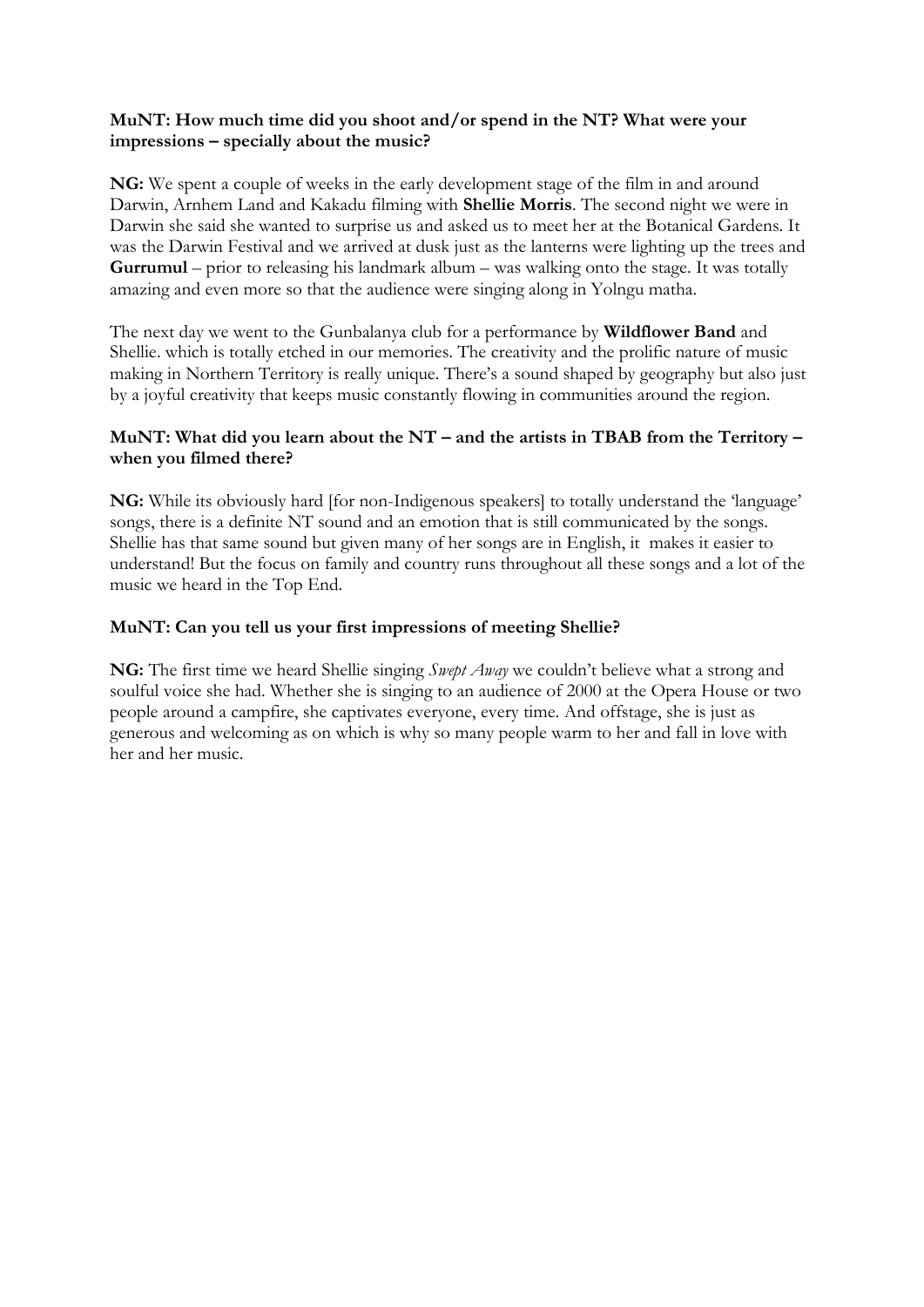#### **MuNT: How much time did you shoot and/or spend in the NT? What were your impressions – specially about the music?**

**NG:** We spent a couple of weeks in the early development stage of the film in and around Darwin, Arnhem Land and Kakadu filming with **Shellie Morris**. The second night we were in Darwin she said she wanted to surprise us and asked us to meet her at the Botanical Gardens. It was the Darwin Festival and we arrived at dusk just as the lanterns were lighting up the trees and **Gurrumul** – prior to releasing his landmark album – was walking onto the stage. It was totally amazing and even more so that the audience were singing along in Yolngu matha.

The next day we went to the Gunbalanya club for a performance by **Wildflower Band** and Shellie. which is totally etched in our memories. The creativity and the prolific nature of music making in Northern Territory is really unique. There"s a sound shaped by geography but also just by a joyful creativity that keeps music constantly flowing in communities around the region.

# **MuNT: What did you learn about the NT – and the artists in TBAB from the Territory – when you filmed there?**

NG: While its obviously hard [for non-Indigenous speakers] to totally understand the 'language' songs, there is a definite NT sound and an emotion that is still communicated by the songs. Shellie has that same sound but given many of her songs are in English, it makes it easier to understand! But the focus on family and country runs throughout all these songs and a lot of the music we heard in the Top End.

### **MuNT: Can you tell us your first impressions of meeting Shellie?**

**NG:** The first time we heard Shellie singing *Swept Away* we couldn"t believe what a strong and soulful voice she had. Whether she is singing to an audience of 2000 at the Opera House or two people around a campfire, she captivates everyone, every time. And offstage, she is just as generous and welcoming as on which is why so many people warm to her and fall in love with her and her music.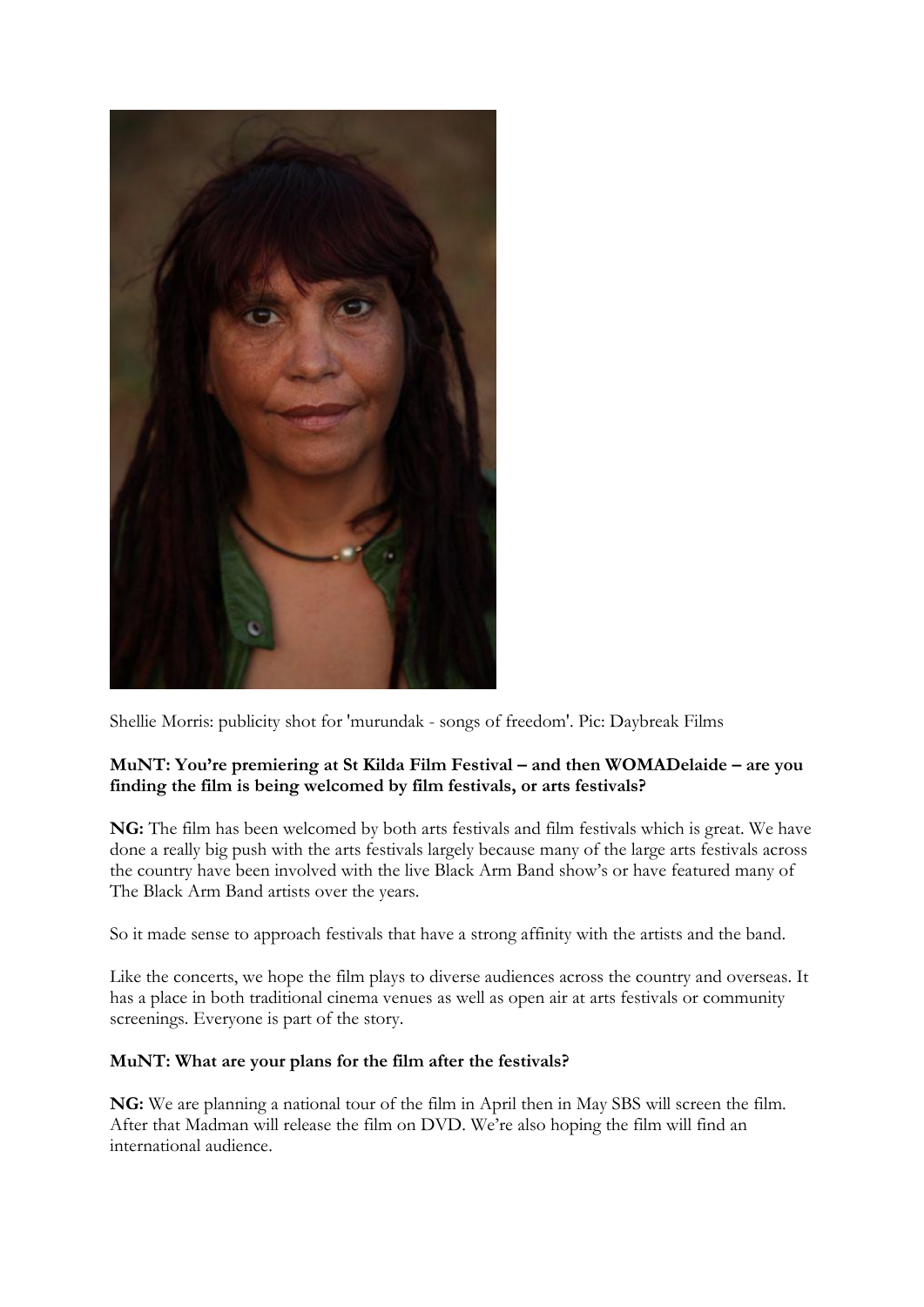

Shellie Morris: publicity shot for 'murundak - songs of freedom'. Pic: Daybreak Films

# **MuNT: You're premiering at St Kilda Film Festival – and then WOMADelaide – are you finding the film is being welcomed by film festivals, or arts festivals?**

**NG:** The film has been welcomed by both arts festivals and film festivals which is great. We have done a really big push with the arts festivals largely because many of the large arts festivals across the country have been involved with the live Black Arm Band show"s or have featured many of The Black Arm Band artists over the years.

So it made sense to approach festivals that have a strong affinity with the artists and the band.

Like the concerts, we hope the film plays to diverse audiences across the country and overseas. It has a place in both traditional cinema venues as well as open air at arts festivals or community screenings. Everyone is part of the story.

# **MuNT: What are your plans for the film after the festivals?**

**NG:** We are planning a national tour of the film in April then in May SBS will screen the film. After that Madman will release the film on DVD. We"re also hoping the film will find an international audience.